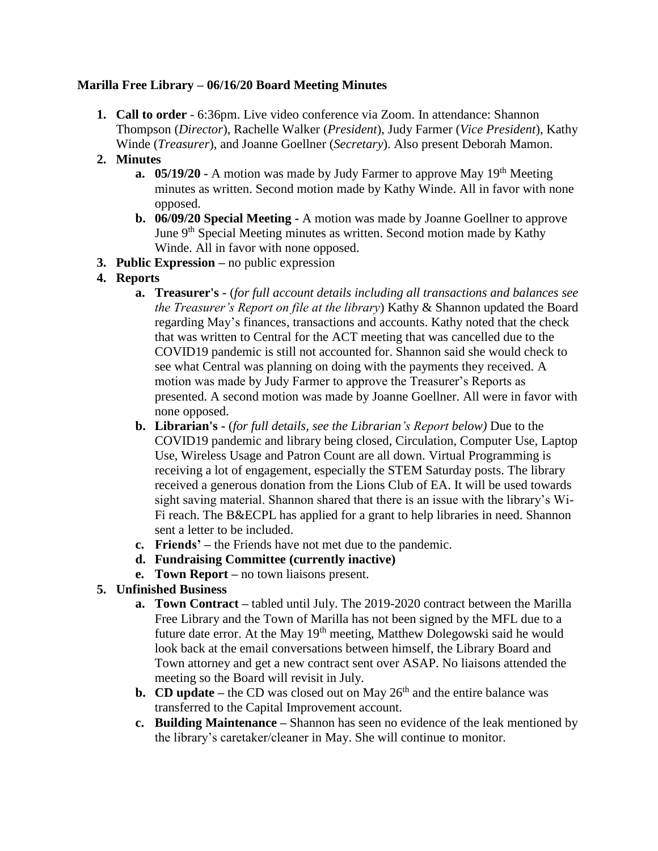# **Marilla Free Library – 06/16/20 Board Meeting Minutes**

**1. Call to order** - 6:36pm. Live video conference via Zoom. In attendance: Shannon Thompson (*Director*), Rachelle Walker (*President*), Judy Farmer (*Vice President*), Kathy Winde (*Treasurer*), and Joanne Goellner (*Secretary*). Also present Deborah Mamon.

### **2. Minutes**

- **a. 05/19/20** A motion was made by Judy Farmer to approve May 19<sup>th</sup> Meeting minutes as written. Second motion made by Kathy Winde. All in favor with none opposed.
- **b. 06/09/20 Special Meeting -** A motion was made by Joanne Goellner to approve June 9<sup>th</sup> Special Meeting minutes as written. Second motion made by Kathy Winde. All in favor with none opposed.
- **3. Public Expression –** no public expression

# **4. Reports**

- **a. Treasurer's -** (*for full account details including all transactions and balances see the Treasurer's Report on file at the library*) Kathy & Shannon updated the Board regarding May's finances, transactions and accounts. Kathy noted that the check that was written to Central for the ACT meeting that was cancelled due to the COVID19 pandemic is still not accounted for. Shannon said she would check to see what Central was planning on doing with the payments they received. A motion was made by Judy Farmer to approve the Treasurer's Reports as presented. A second motion was made by Joanne Goellner. All were in favor with none opposed.
- **b. Librarian's -** (*for full details, see the Librarian's Report below)* Due to the COVID19 pandemic and library being closed, Circulation, Computer Use, Laptop Use, Wireless Usage and Patron Count are all down. Virtual Programming is receiving a lot of engagement, especially the STEM Saturday posts. The library received a generous donation from the Lions Club of EA. It will be used towards sight saving material. Shannon shared that there is an issue with the library's Wi-Fi reach. The B&ECPL has applied for a grant to help libraries in need. Shannon sent a letter to be included.
- **c. Friends' –** the Friends have not met due to the pandemic.
- **d. Fundraising Committee (currently inactive)**
- **e. Town Report –** no town liaisons present.

# **5. Unfinished Business**

- **a. Town Contract –** tabled until July. The 2019-2020 contract between the Marilla Free Library and the Town of Marilla has not been signed by the MFL due to a future date error. At the May 19<sup>th</sup> meeting, Matthew Dolegowski said he would look back at the email conversations between himself, the Library Board and Town attorney and get a new contract sent over ASAP. No liaisons attended the meeting so the Board will revisit in July.
- **b. CD update** the CD was closed out on May  $26<sup>th</sup>$  and the entire balance was transferred to the Capital Improvement account.
- **c. Building Maintenance –** Shannon has seen no evidence of the leak mentioned by the library's caretaker/cleaner in May. She will continue to monitor.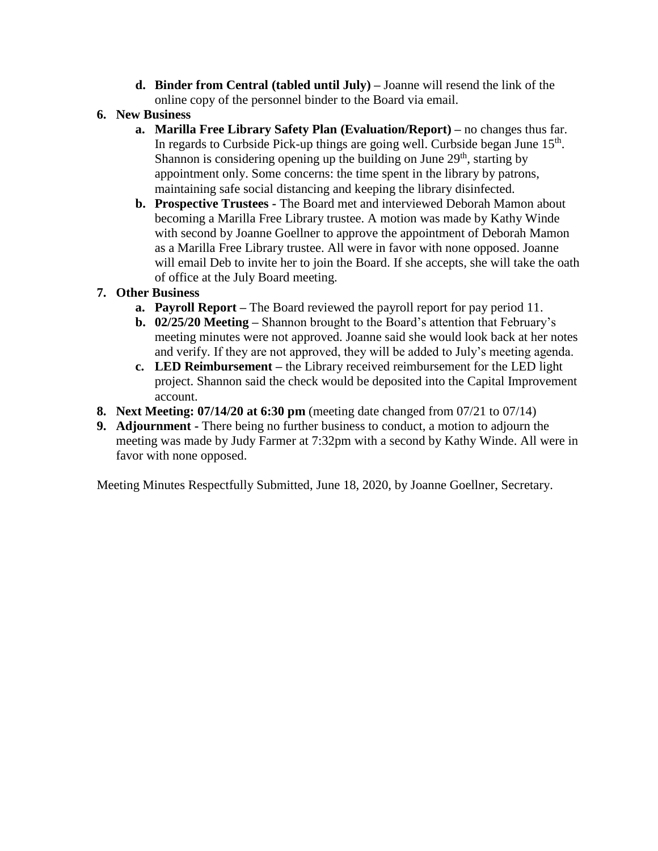- **d. Binder from Central (tabled until July) –** Joanne will resend the link of the online copy of the personnel binder to the Board via email.
- **6. New Business**
	- **a. Marilla Free Library Safety Plan (Evaluation/Report) –** no changes thus far. In regards to Curbside Pick-up things are going well. Curbside began June 15<sup>th</sup>. Shannon is considering opening up the building on June  $29<sup>th</sup>$ , starting by appointment only. Some concerns: the time spent in the library by patrons, maintaining safe social distancing and keeping the library disinfected.
	- **b. Prospective Trustees -** The Board met and interviewed Deborah Mamon about becoming a Marilla Free Library trustee. A motion was made by Kathy Winde with second by Joanne Goellner to approve the appointment of Deborah Mamon as a Marilla Free Library trustee. All were in favor with none opposed. Joanne will email Deb to invite her to join the Board. If she accepts, she will take the oath of office at the July Board meeting.

# **7. Other Business**

- **a. Payroll Report –** The Board reviewed the payroll report for pay period 11.
- **b. 02/25/20 Meeting –** Shannon brought to the Board's attention that February's meeting minutes were not approved. Joanne said she would look back at her notes and verify. If they are not approved, they will be added to July's meeting agenda.
- **c. LED Reimbursement –** the Library received reimbursement for the LED light project. Shannon said the check would be deposited into the Capital Improvement account.
- **8. Next Meeting: 07/14/20 at 6:30 pm** (meeting date changed from 07/21 to 07/14)
- **9. Adjournment -** There being no further business to conduct, a motion to adjourn the meeting was made by Judy Farmer at 7:32pm with a second by Kathy Winde. All were in favor with none opposed.

Meeting Minutes Respectfully Submitted, June 18, 2020, by Joanne Goellner, Secretary.